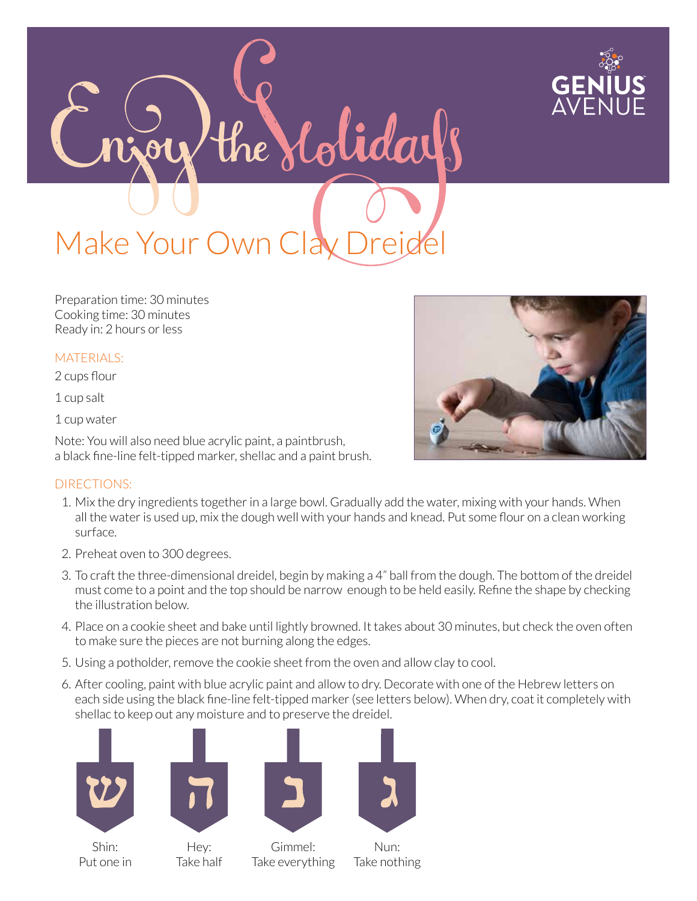

Make Your Own Clay Drei

Preparation time: 30 minutes Cooking time: 30 minutes Ready in: 2 hours or less

## MATERIALS:

2 cups flour

1 cup salt

1 cup water

Note: You will also need blue acrylic paint, a paintbrush, a black fine-line felt-tipped marker, shellac and a paint brush.

## DIRECTIONS:

1. Mix the dry ingredients together in a large bowl. Gradually add the water, mixing with your hands. When all the water is used up, mix the dough well with your hands and knead. Put some flour on a clean working surface.

the Molidays

- 2. Preheat oven to 300 degrees.
- 3. To craft the three-dimensional dreidel, begin by making a 4" ball from the dough. The bottom of the dreidel must come to a point and the top should be narrow enough to be held easily. Refine the shape by checking the illustration below.
- 4. Place on a cookie sheet and bake until lightly browned. It takes about 30 minutes, but check the oven often to make sure the pieces are not burning along the edges.
- 5. Using a potholder, remove the cookie sheet from the oven and allow clay to cool.
- 6. After cooling, paint with blue acrylic paint and allow to dry. Decorate with one of the Hebrew letters on each side using the black fine-line felt-tipped marker (see letters below). When dry, coat it completely with shellac to keep out any moisture and to preserve the dreidel.





Shin: Put one in



Gimmel: Take everything



Take nothing